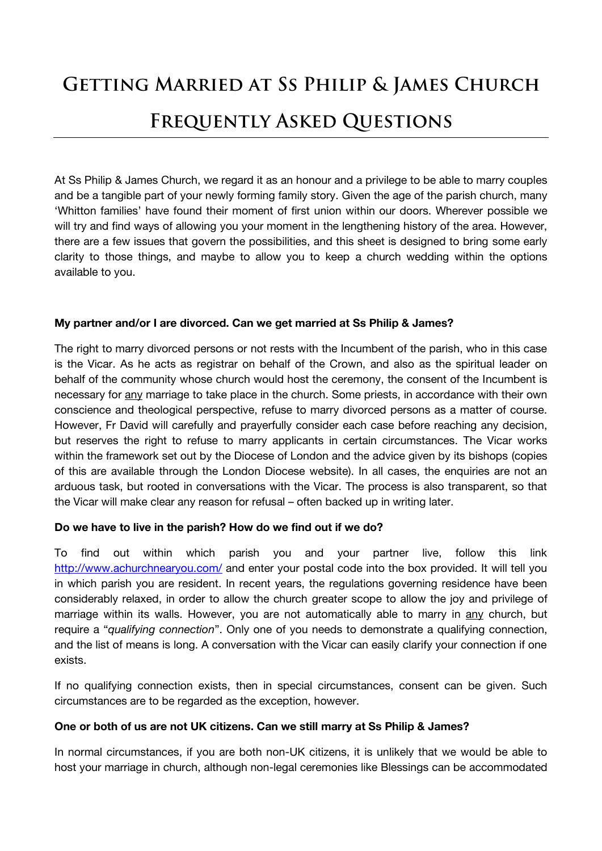# **GETTING MARRIED AT SS PHILIP & JAMES CHURCH FREQUENTLY ASKED QUESTIONS**

At Ss Philip & James Church, we regard it as an honour and a privilege to be able to marry couples and be a tangible part of your newly forming family story. Given the age of the parish church, many 'Whitton families' have found their moment of first union within our doors. Wherever possible we will try and find ways of allowing you your moment in the lengthening history of the area. However, there are a few issues that govern the possibilities, and this sheet is designed to bring some early clarity to those things, and maybe to allow you to keep a church wedding within the options available to you.

# **My partner and/or I are divorced. Can we get married at Ss Philip & James?**

The right to marry divorced persons or not rests with the Incumbent of the parish, who in this case is the Vicar. As he acts as registrar on behalf of the Crown, and also as the spiritual leader on behalf of the community whose church would host the ceremony, the consent of the Incumbent is necessary for any marriage to take place in the church. Some priests, in accordance with their own conscience and theological perspective, refuse to marry divorced persons as a matter of course. However, Fr David will carefully and prayerfully consider each case before reaching any decision, but reserves the right to refuse to marry applicants in certain circumstances. The Vicar works within the framework set out by the Diocese of London and the advice given by its bishops (copies of this are available through the London Diocese website). In all cases, the enquiries are not an arduous task, but rooted in conversations with the Vicar. The process is also transparent, so that the Vicar will make clear any reason for refusal – often backed up in writing later.

# **Do we have to live in the parish? How do we find out if we do?**

To find out within which parish you and your partner live, follow this link <http://www.achurchnearyou.com/> and enter your postal code into the box provided. It will tell you in which parish you are resident. In recent years, the regulations governing residence have been considerably relaxed, in order to allow the church greater scope to allow the joy and privilege of marriage within its walls. However, you are not automatically able to marry in any church, but require a "*qualifying connection*". Only one of you needs to demonstrate a qualifying connection, and the list of means is long. A conversation with the Vicar can easily clarify your connection if one exists.

If no qualifying connection exists, then in special circumstances, consent can be given. Such circumstances are to be regarded as the exception, however.

#### **One or both of us are not UK citizens. Can we still marry at Ss Philip & James?**

In normal circumstances, if you are both non-UK citizens, it is unlikely that we would be able to host your marriage in church, although non-legal ceremonies like Blessings can be accommodated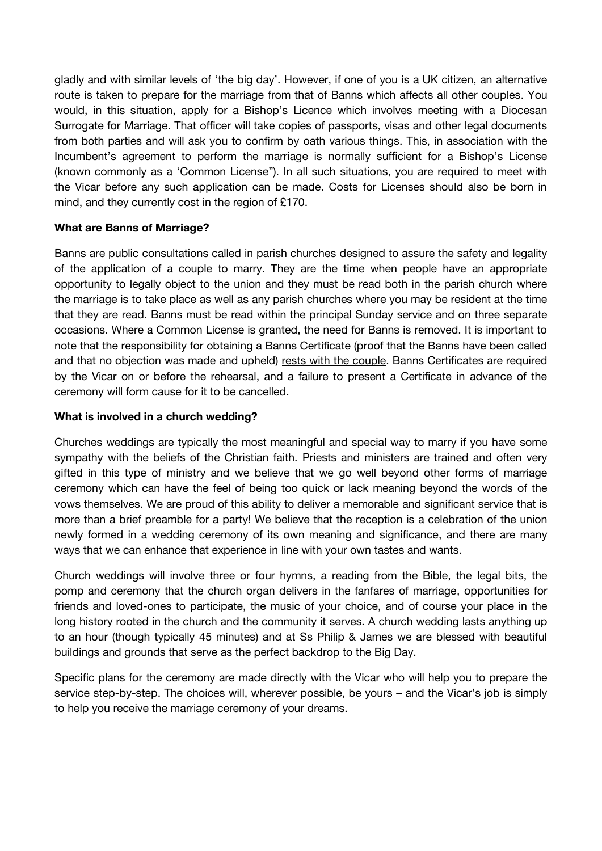gladly and with similar levels of 'the big day'. However, if one of you is a UK citizen, an alternative route is taken to prepare for the marriage from that of Banns which affects all other couples. You would, in this situation, apply for a Bishop's Licence which involves meeting with a Diocesan Surrogate for Marriage. That officer will take copies of passports, visas and other legal documents from both parties and will ask you to confirm by oath various things. This, in association with the Incumbent's agreement to perform the marriage is normally sufficient for a Bishop's License (known commonly as a 'Common License"). In all such situations, you are required to meet with the Vicar before any such application can be made. Costs for Licenses should also be born in mind, and they currently cost in the region of £170.

## **What are Banns of Marriage?**

Banns are public consultations called in parish churches designed to assure the safety and legality of the application of a couple to marry. They are the time when people have an appropriate opportunity to legally object to the union and they must be read both in the parish church where the marriage is to take place as well as any parish churches where you may be resident at the time that they are read. Banns must be read within the principal Sunday service and on three separate occasions. Where a Common License is granted, the need for Banns is removed. It is important to note that the responsibility for obtaining a Banns Certificate (proof that the Banns have been called and that no objection was made and upheld) rests with the couple. Banns Certificates are required by the Vicar on or before the rehearsal, and a failure to present a Certificate in advance of the ceremony will form cause for it to be cancelled.

## **What is involved in a church wedding?**

Churches weddings are typically the most meaningful and special way to marry if you have some sympathy with the beliefs of the Christian faith. Priests and ministers are trained and often very gifted in this type of ministry and we believe that we go well beyond other forms of marriage ceremony which can have the feel of being too quick or lack meaning beyond the words of the vows themselves. We are proud of this ability to deliver a memorable and significant service that is more than a brief preamble for a party! We believe that the reception is a celebration of the union newly formed in a wedding ceremony of its own meaning and significance, and there are many ways that we can enhance that experience in line with your own tastes and wants.

Church weddings will involve three or four hymns, a reading from the Bible, the legal bits, the pomp and ceremony that the church organ delivers in the fanfares of marriage, opportunities for friends and loved-ones to participate, the music of your choice, and of course your place in the long history rooted in the church and the community it serves. A church wedding lasts anything up to an hour (though typically 45 minutes) and at Ss Philip & James we are blessed with beautiful buildings and grounds that serve as the perfect backdrop to the Big Day.

Specific plans for the ceremony are made directly with the Vicar who will help you to prepare the service step-by-step. The choices will, wherever possible, be yours – and the Vicar's job is simply to help you receive the marriage ceremony of your dreams.